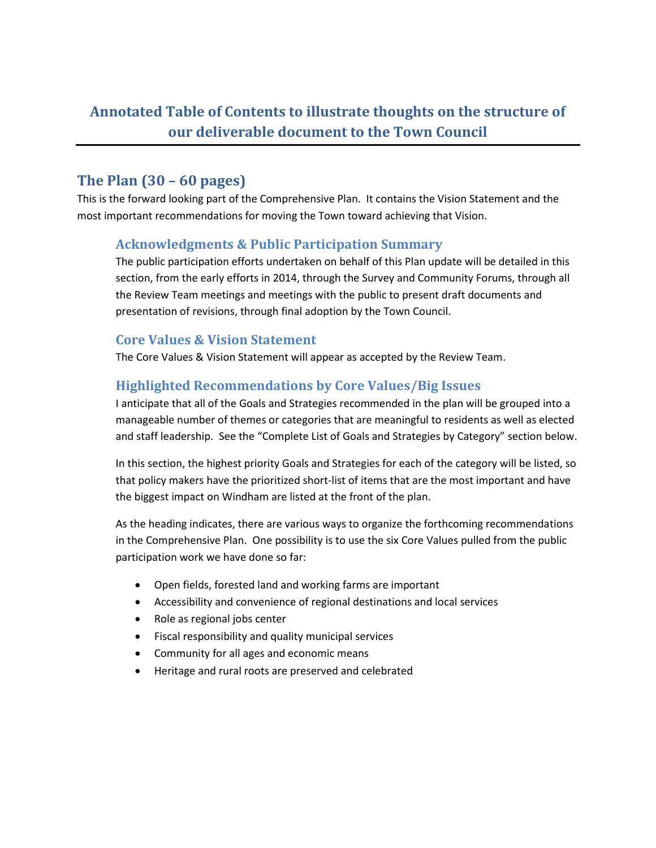# **Annotated Table of Contents to illustrate thoughts on the structure of our deliverable document to the Town Council**

# **The Plan (30 – 60 pages)**

This is the forward looking part of the Comprehensive Plan. It contains the Vision Statement and the most important recommendations for moving the Town toward achieving that Vision.

## **Acknowledgments & Public Participation Summary**

The public participation efforts undertaken on behalf of this Plan update will be detailed in this section, from the early efforts in 2014, through the Survey and Community Forums, through all the Review Team meetings and meetings with the public to present draft documents and presentation of revisions, through final adoption by the Town Council.

## **Core Values & Vision Statement**

The Core Values & Vision Statement will appear as accepted by the Review Team.

## **Highlighted Recommendations by Core Values/Big Issues**

I anticipate that all of the Goals and Strategies recommended in the plan will be grouped into a manageable number of themes or categories that are meaningful to residents as well as elected and staff leadership. See the "Complete List of Goals and Strategies by Category" section below.

In this section, the highest priority Goals and Strategies for each of the category will be listed, so that policy makers have the prioritized short-list of items that are the most important and have the biggest impact on Windham are listed at the front of the plan.

As the heading indicates, there are various ways to organize the forthcoming recommendations in the Comprehensive Plan. One possibility is to use the six Core Values pulled from the public participation work we have done so far:

- Open fields, forested land and working farms are important
- Accessibility and convenience of regional destinations and local services
- Role as regional jobs center
- Fiscal responsibility and quality municipal services
- Community for all ages and economic means
- Heritage and rural roots are preserved and celebrated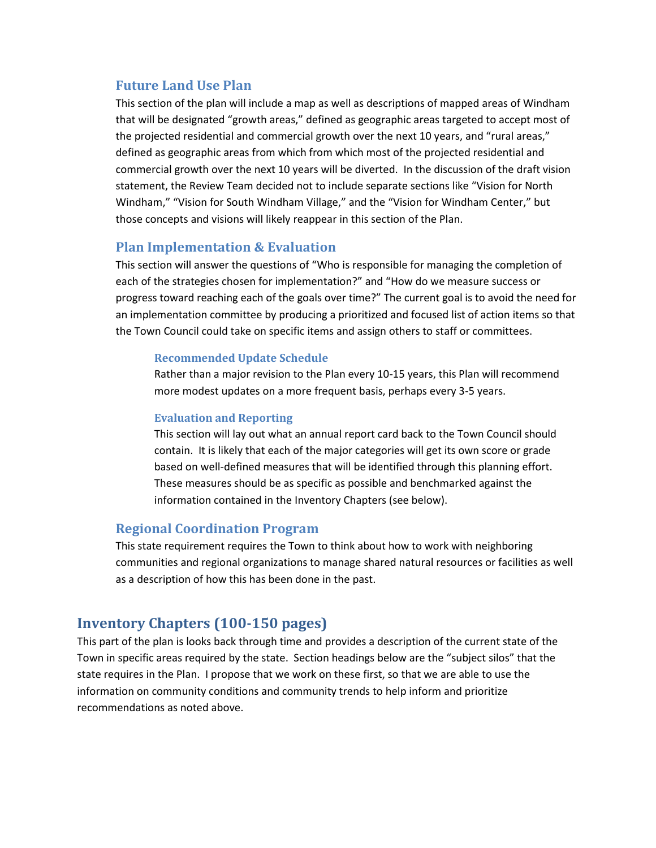#### **Future Land Use Plan**

This section of the plan will include a map as well as descriptions of mapped areas of Windham that will be designated "growth areas," defined as geographic areas targeted to accept most of the projected residential and commercial growth over the next 10 years, and "rural areas," defined as geographic areas from which from which most of the projected residential and commercial growth over the next 10 years will be diverted. In the discussion of the draft vision statement, the Review Team decided not to include separate sections like "Vision for North Windham," "Vision for South Windham Village," and the "Vision for Windham Center," but those concepts and visions will likely reappear in this section of the Plan.

## **Plan Implementation & Evaluation**

This section will answer the questions of "Who is responsible for managing the completion of each of the strategies chosen for implementation?" and "How do we measure success or progress toward reaching each of the goals over time?" The current goal is to avoid the need for an implementation committee by producing a prioritized and focused list of action items so that the Town Council could take on specific items and assign others to staff or committees.

#### **Recommended Update Schedule**

Rather than a major revision to the Plan every 10-15 years, this Plan will recommend more modest updates on a more frequent basis, perhaps every 3-5 years.

#### **Evaluation and Reporting**

This section will lay out what an annual report card back to the Town Council should contain. It is likely that each of the major categories will get its own score or grade based on well-defined measures that will be identified through this planning effort. These measures should be as specific as possible and benchmarked against the information contained in the Inventory Chapters (see below).

## **Regional Coordination Program**

This state requirement requires the Town to think about how to work with neighboring communities and regional organizations to manage shared natural resources or facilities as well as a description of how this has been done in the past.

## **Inventory Chapters (100-150 pages)**

This part of the plan is looks back through time and provides a description of the current state of the Town in specific areas required by the state. Section headings below are the "subject silos" that the state requires in the Plan. I propose that we work on these first, so that we are able to use the information on community conditions and community trends to help inform and prioritize recommendations as noted above.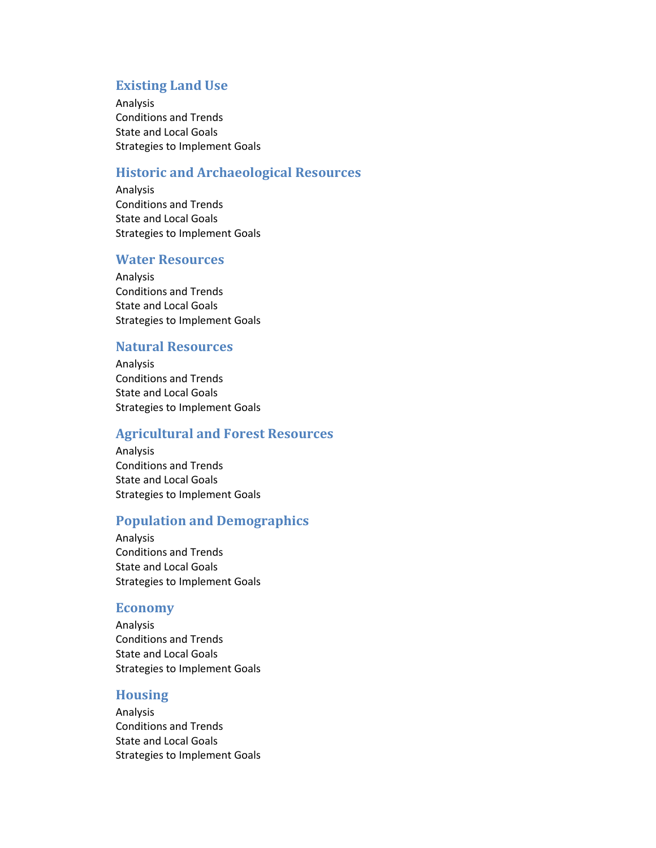#### **Existing Land Use**

Analysis Conditions and Trends State and Local Goals Strategies to Implement Goals

#### **Historic and Archaeological Resources**

Analysis Conditions and Trends State and Local Goals Strategies to Implement Goals

#### **Water Resources**

Analysis Conditions and Trends State and Local Goals Strategies to Implement Goals

## **Natural Resources**

Analysis Conditions and Trends State and Local Goals Strategies to Implement Goals

## **Agricultural and Forest Resources**

Analysis Conditions and Trends State and Local Goals Strategies to Implement Goals

#### **Population and Demographics**

Analysis Conditions and Trends State and Local Goals Strategies to Implement Goals

#### **Economy**

Analysis Conditions and Trends State and Local Goals Strategies to Implement Goals

#### **Housing**

Analysis Conditions and Trends State and Local Goals Strategies to Implement Goals